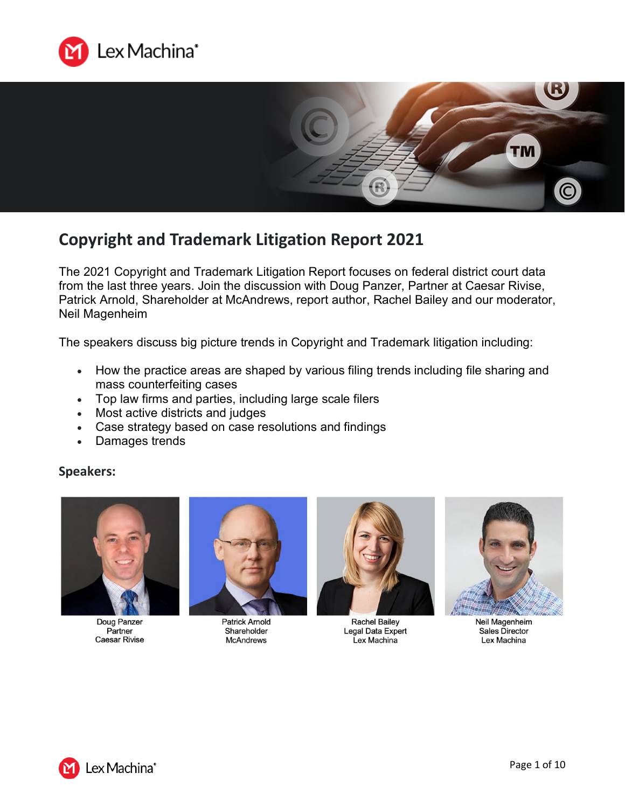



# **Copyright and Trademark Litigation Report 2021**

The 2021 Copyright and Trademark Litigation Report focuses on federal district court data from the last three years. Join the discussion with Doug Panzer, Partner at Caesar Rivise, Patrick Arnold, Shareholder at McAndrews, report author, Rachel Bailey and our moderator, Neil Magenheim

The speakers discuss big picture trends in Copyright and Trademark litigation including:

- How the practice areas are shaped by various filing trends including file sharing and mass counterfeiting cases
- Top law firms and parties, including large scale filers
- Most active districts and judges
- Case strategy based on case resolutions and findings
- Damages trends

# **Speakers:**



Doug Panzer Partner **Caesar Rivise** 



**Patrick Arnold** Shareholder **McAndrews** 



**Rachel Bailey** Legal Data Expert Lex Machina



Neil Magenheim Sales Director Lex Machina

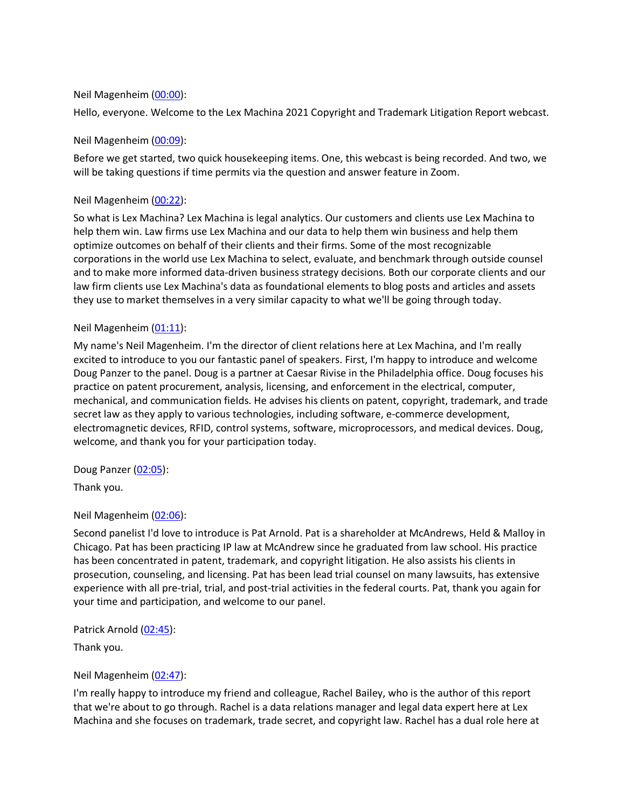# Neil Magenheim [\(00:00\)](https://www.rev.com/transcript-editor/Edit?token=L3gdc4O8xv0TaRvAqybefylx_vBBJ6B2F4MrFyVq353fcUCq5v-gyJ3BPcdyoRRaW37wEc5TJWNflayd1n_TZExmGNY&loadFrom=DocumentDeeplink&ts=0.48):

Hello, everyone. Welcome to the Lex Machina 2021 Copyright and Trademark Litigation Report webcast.

# Neil Magenheim [\(00:09\)](https://www.rev.com/transcript-editor/Edit?token=7AorpqJm04LYSWPu54_x919vTkZbacSn4TLaBkGRzkCaTJ_4LkX9P99lvQJcCwYHDT0ihZWlzCRCmS2TNNM9UzPuNMQ&loadFrom=DocumentDeeplink&ts=9.48):

Before we get started, two quick housekeeping items. One, this webcast is being recorded. And two, we will be taking questions if time permits via the question and answer feature in Zoom.

# Neil Magenheim [\(00:22\)](https://www.rev.com/transcript-editor/Edit?token=3BpvuYMreIIZ-M18PYSahim-gx15aCEeK4HZhe0fN2D9yGXDkrUvwJJGPOdlsDTZKuMs6DGE5Id-sfjxMV51SGHG8L0&loadFrom=DocumentDeeplink&ts=22.51):

So what is Lex Machina? Lex Machina is legal analytics. Our customers and clients use Lex Machina to help them win. Law firms use Lex Machina and our data to help them win business and help them optimize outcomes on behalf of their clients and their firms. Some of the most recognizable corporations in the world use Lex Machina to select, evaluate, and benchmark through outside counsel and to make more informed data-driven business strategy decisions. Both our corporate clients and our law firm clients use Lex Machina's data as foundational elements to blog posts and articles and assets they use to market themselves in a very similar capacity to what we'll be going through today.

# Neil Magenheim [\(01:11\)](https://www.rev.com/transcript-editor/Edit?token=uJoYfPrDLn_RQtIJyBjwUpVnvgGTboJ26oI0qJLvK40BC7HG9f58ck7gU2fqH915xEpfSRSeQQ48sEqQZp8dIDdaBGk&loadFrom=DocumentDeeplink&ts=71.25):

My name's Neil Magenheim. I'm the director of client relations here at Lex Machina, and I'm really excited to introduce to you our fantastic panel of speakers. First, I'm happy to introduce and welcome Doug Panzer to the panel. Doug is a partner at Caesar Rivise in the Philadelphia office. Doug focuses his practice on patent procurement, analysis, licensing, and enforcement in the electrical, computer, mechanical, and communication fields. He advises his clients on patent, copyright, trademark, and trade secret law as they apply to various technologies, including software, e-commerce development, electromagnetic devices, RFID, control systems, software, microprocessors, and medical devices. Doug, welcome, and thank you for your participation today.

Doug Panzer [\(02:05\)](https://www.rev.com/transcript-editor/Edit?token=v5ynou1OFFrcmGkv_LKGGBJglHKqhbv0Y56etDP7DnDLIkfpmpjI6C6EkQfkMfneoem1Z5hh7DPy1PzDgqmgtBdS_k8&loadFrom=DocumentDeeplink&ts=125.66):

Thank you.

### Neil Magenheim [\(02:06\)](https://www.rev.com/transcript-editor/Edit?token=nHz2S8vy2IhcefSOzLbDZKUQI3OjQOrvQdIpc_FDrEXmpE3d0a9pCwP-EnCuVsw9DwASPqEBoRa5G1-BM3OaPk_7mwc&loadFrom=DocumentDeeplink&ts=126.43):

Second panelist I'd love to introduce is Pat Arnold. Pat is a shareholder at McAndrews, Held & Malloy in Chicago. Pat has been practicing IP law at McAndrew since he graduated from law school. His practice has been concentrated in patent, trademark, and copyright litigation. He also assists his clients in prosecution, counseling, and licensing. Pat has been lead trial counsel on many lawsuits, has extensive experience with all pre-trial, trial, and post-trial activities in the federal courts. Pat, thank you again for your time and participation, and welcome to our panel.

Patrick Arnold [\(02:45\)](https://www.rev.com/transcript-editor/Edit?token=X3L6FArbkkv8pROTxsTZjP7dNd99TBcuVBouJZj1OtRJayOz4EFQgI2_zc2VqhKGl_JDUsflruuyYpcIQnZWAKYoQGk&loadFrom=DocumentDeeplink&ts=165.13):

Thank you.

### Neil Magenheim [\(02:47\)](https://www.rev.com/transcript-editor/Edit?token=Vem6PPk76Liu6D39KkBYnrE_QlJl9ZdGJc6iNHLzIP2R7x_rYaM4W4zfGr7yBIbyIHMzTv07qHsZhKEppxkYTT-7OPQ&loadFrom=DocumentDeeplink&ts=167.27):

I'm really happy to introduce my friend and colleague, Rachel Bailey, who is the author of this report that we're about to go through. Rachel is a data relations manager and legal data expert here at Lex Machina and she focuses on trademark, trade secret, and copyright law. Rachel has a dual role here at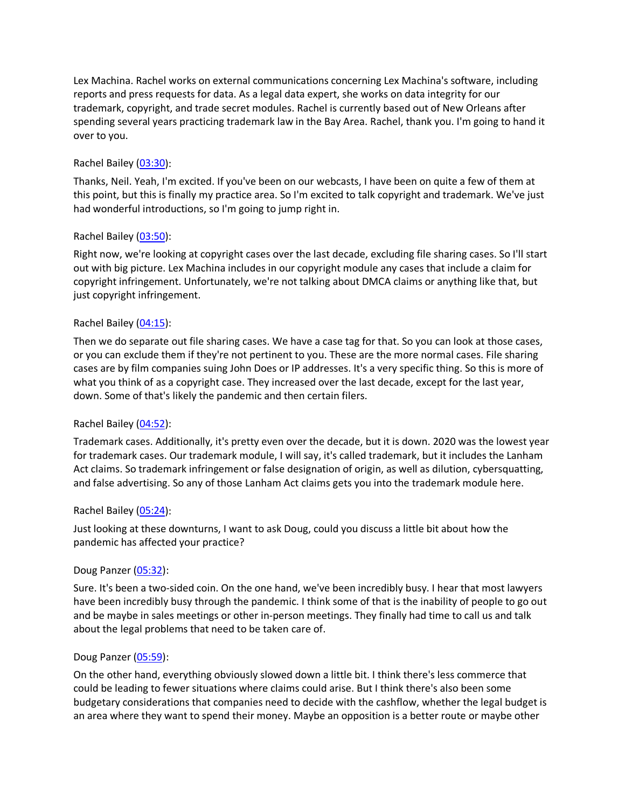Lex Machina. Rachel works on external communications concerning Lex Machina's software, including reports and press requests for data. As a legal data expert, she works on data integrity for our trademark, copyright, and trade secret modules. Rachel is currently based out of New Orleans after spending several years practicing trademark law in the Bay Area. Rachel, thank you. I'm going to hand it over to you.

### Rachel Bailey [\(03:30\)](https://www.rev.com/transcript-editor/Edit?token=P7RtHfSe-5fFETuCQDmW20bJtuUvwP1qKjs7BTG5bkX-PWOXUgyTDMI7qx7rNppyv9VrGoKf8Gbdr4bITNGTmwPhU-E&loadFrom=DocumentDeeplink&ts=210.84):

Thanks, Neil. Yeah, I'm excited. If you've been on our webcasts, I have been on quite a few of them at this point, but this is finally my practice area. So I'm excited to talk copyright and trademark. We've just had wonderful introductions, so I'm going to jump right in.

# Rachel Bailey [\(03:50\)](https://www.rev.com/transcript-editor/Edit?token=za4S_SfqVM9NCzHZcI3z1M3w8REVgRjq1Dle5c5N6qsXq0UdA91Cf9MRP2kc3UR7C0Zxou5eW6vMUwre3jm44lz6y3o&loadFrom=DocumentDeeplink&ts=230.81):

Right now, we're looking at copyright cases over the last decade, excluding file sharing cases. So I'll start out with big picture. Lex Machina includes in our copyright module any cases that include a claim for copyright infringement. Unfortunately, we're not talking about DMCA claims or anything like that, but just copyright infringement.

# Rachel Bailey [\(04:15\)](https://www.rev.com/transcript-editor/Edit?token=7N_rEWw9p0cqqM1A_yXuhFCquWkptccoP1xtDt_LEzVGKA2alW56F8-3RO7Tqt1KJaGlNLF4RxraPTEngw6gflaEqYw&loadFrom=DocumentDeeplink&ts=255.91):

Then we do separate out file sharing cases. We have a case tag for that. So you can look at those cases, or you can exclude them if they're not pertinent to you. These are the more normal cases. File sharing cases are by film companies suing John Does or IP addresses. It's a very specific thing. So this is more of what you think of as a copyright case. They increased over the last decade, except for the last year, down. Some of that's likely the pandemic and then certain filers.

### Rachel Bailey [\(04:52\)](https://www.rev.com/transcript-editor/Edit?token=LNSRmhZzjpUmto1AoBZdoEyXqkwGVKdm8fotFyB6CDZdokU8SGpS05-XtVVN7t0BBbPPGIo2wacPjupeZcm9yBgusXQ&loadFrom=DocumentDeeplink&ts=292.81):

Trademark cases. Additionally, it's pretty even over the decade, but it is down. 2020 was the lowest year for trademark cases. Our trademark module, I will say, it's called trademark, but it includes the Lanham Act claims. So trademark infringement or false designation of origin, as well as dilution, cybersquatting, and false advertising. So any of those Lanham Act claims gets you into the trademark module here.

### Rachel Bailey [\(05:24\)](https://www.rev.com/transcript-editor/Edit?token=689hHgvXoWHqqoeOoCjJ9lQ6-aPx_4VgPO8qmJO-s8SrJhaqo8gTbvEovA5QMx7BGQsWuXo4X0uPOYuvOQdBU76omX0&loadFrom=DocumentDeeplink&ts=324.26):

Just looking at these downturns, I want to ask Doug, could you discuss a little bit about how the pandemic has affected your practice?

### Doug Panzer [\(05:32\)](https://www.rev.com/transcript-editor/Edit?token=noevmCDBYlE2PlAVT3P4xP-SV1RPSLkMBrwGQTxEj04xBsZpOE8aGuuqQW_9gkhOLAwxyjhIK9eIA94FVdtxL9fHrs0&loadFrom=DocumentDeeplink&ts=332.8):

Sure. It's been a two-sided coin. On the one hand, we've been incredibly busy. I hear that most lawyers have been incredibly busy through the pandemic. I think some of that is the inability of people to go out and be maybe in sales meetings or other in-person meetings. They finally had time to call us and talk about the legal problems that need to be taken care of.

### Doug Panzer [\(05:59\)](https://www.rev.com/transcript-editor/Edit?token=QDS-4fDdLDJkWqUN5f0-ogeOmjfxYKJE1jjuFX-7-ERjUWvPPZVygaFUqXuy5YA_MZtySn5V_To_zN9R5wceTOWGtzg&loadFrom=DocumentDeeplink&ts=359.25):

On the other hand, everything obviously slowed down a little bit. I think there's less commerce that could be leading to fewer situations where claims could arise. But I think there's also been some budgetary considerations that companies need to decide with the cashflow, whether the legal budget is an area where they want to spend their money. Maybe an opposition is a better route or maybe other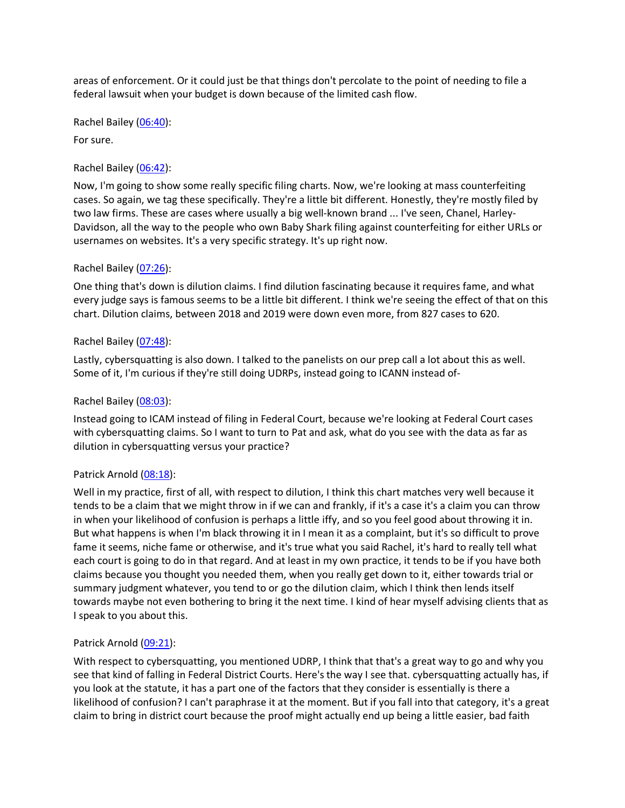areas of enforcement. Or it could just be that things don't percolate to the point of needing to file a federal lawsuit when your budget is down because of the limited cash flow.

Rachel Bailey [\(06:40\)](https://www.rev.com/transcript-editor/Edit?token=t7hOfZ7fj4BWE_rwOBqu90c-Gofd8MBidQWm1l6EV-i84B9cngy2z_apfttS8gFU6CgM-zvq_WrrbxXaulsi-jfcclo&loadFrom=DocumentDeeplink&ts=400.65):

For sure.

### Rachel Bailey [\(06:42\)](https://www.rev.com/transcript-editor/Edit?token=4LWqO1Fc54eYgoTuShDBdY4ujgFAl2pp1TkVe3qV_rgSLHnfqaKoe_0LXO26rtJby2eftt0S9tFvxD4-DfE1SaCCUws&loadFrom=DocumentDeeplink&ts=402.72):

Now, I'm going to show some really specific filing charts. Now, we're looking at mass counterfeiting cases. So again, we tag these specifically. They're a little bit different. Honestly, they're mostly filed by two law firms. These are cases where usually a big well-known brand ... I've seen, Chanel, Harley-Davidson, all the way to the people who own Baby Shark filing against counterfeiting for either URLs or usernames on websites. It's a very specific strategy. It's up right now.

### Rachel Bailey [\(07:26\)](https://www.rev.com/transcript-editor/Edit?token=wvPcexWHIlFdNIqaV3tetncGwZl-JzudVip8sey7X9hLeWGkp9RxAzjfWjv0BUzOG5_K7CXw1h-uSiNfD2GXoZBZKpM&loadFrom=DocumentDeeplink&ts=446.09):

One thing that's down is dilution claims. I find dilution fascinating because it requires fame, and what every judge says is famous seems to be a little bit different. I think we're seeing the effect of that on this chart. Dilution claims, between 2018 and 2019 were down even more, from 827 cases to 620.

### Rachel Bailey [\(07:48\)](https://www.rev.com/transcript-editor/Edit?token=T4CzGt8lG8mnGc3f8mH-Wh0ew222U94JZz1JQypA5AMPhTn9sUK3uuFgsBnkvVe3_TDXu4oY5Nm9YjsQdbip1-D5T7E&loadFrom=DocumentDeeplink&ts=468.82):

Lastly, cybersquatting is also down. I talked to the panelists on our prep call a lot about this as well. Some of it, I'm curious if they're still doing UDRPs, instead going to ICANN instead of-

### Rachel Bailey [\(08:03\)](https://www.rev.com/transcript-editor/Edit?token=L7ia9sRa4i2Hw_-j4LKP_sDG3JbG_gFCLZwZcgRZxljeoG7nsignMQs5Ih8OM4163lkd4SW__00xkrXf3q1OR-irkMo&loadFrom=DocumentDeeplink&ts=483.781):

Instead going to ICAM instead of filing in Federal Court, because we're looking at Federal Court cases with cybersquatting claims. So I want to turn to Pat and ask, what do you see with the data as far as dilution in cybersquatting versus your practice?

### Patrick Arnold [\(08:18\)](https://www.rev.com/transcript-editor/Edit?token=hgTVaCYP1F7AM94P3xQB5G4uZ5JMUlfeNM8M1c4KPKlj8GqR2dtSzi03z3zQPcyRsGZufKGjw2BEf7qq3tsQGiSXvzw&loadFrom=DocumentDeeplink&ts=498.37):

Well in my practice, first of all, with respect to dilution, I think this chart matches very well because it tends to be a claim that we might throw in if we can and frankly, if it's a case it's a claim you can throw in when your likelihood of confusion is perhaps a little iffy, and so you feel good about throwing it in. But what happens is when I'm black throwing it in I mean it as a complaint, but it's so difficult to prove fame it seems, niche fame or otherwise, and it's true what you said Rachel, it's hard to really tell what each court is going to do in that regard. And at least in my own practice, it tends to be if you have both claims because you thought you needed them, when you really get down to it, either towards trial or summary judgment whatever, you tend to or go the dilution claim, which I think then lends itself towards maybe not even bothering to bring it the next time. I kind of hear myself advising clients that as I speak to you about this.

### Patrick Arnold [\(09:21\)](https://www.rev.com/transcript-editor/Edit?token=YdsLrZinYvcBYty6x2kjIdJXxAegl5_JMIQySzkCOZo-76hzFdzPtcZrYAajomplaZJoNlj-HJ8XxGOMzH9_Qrw3MEw&loadFrom=DocumentDeeplink&ts=561.07):

With respect to cybersquatting, you mentioned UDRP, I think that that's a great way to go and why you see that kind of falling in Federal District Courts. Here's the way I see that. cybersquatting actually has, if you look at the statute, it has a part one of the factors that they consider is essentially is there a likelihood of confusion? I can't paraphrase it at the moment. But if you fall into that category, it's a great claim to bring in district court because the proof might actually end up being a little easier, bad faith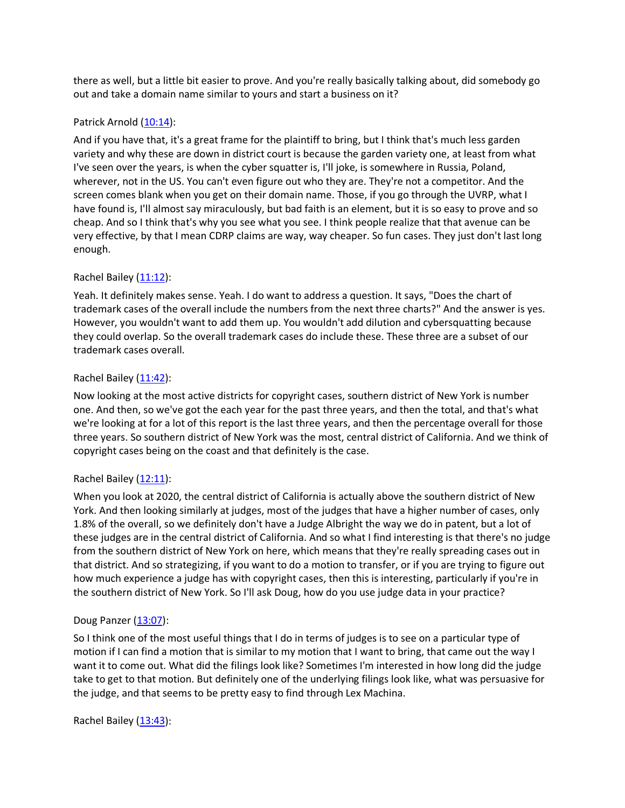there as well, but a little bit easier to prove. And you're really basically talking about, did somebody go out and take a domain name similar to yours and start a business on it?

# Patrick Arnold [\(10:14\)](https://www.rev.com/transcript-editor/Edit?token=FWkwHMi_-6FUixFu_JgJW5JQnHMIObgNx47GA5eU64AM3X00xsKhnsLL5440Saa6R8Lur3eGc0Wu5stnzOVc9K5jOr8&loadFrom=DocumentDeeplink&ts=614.37):

And if you have that, it's a great frame for the plaintiff to bring, but I think that's much less garden variety and why these are down in district court is because the garden variety one, at least from what I've seen over the years, is when the cyber squatter is, I'll joke, is somewhere in Russia, Poland, wherever, not in the US. You can't even figure out who they are. They're not a competitor. And the screen comes blank when you get on their domain name. Those, if you go through the UVRP, what I have found is, I'll almost say miraculously, but bad faith is an element, but it is so easy to prove and so cheap. And so I think that's why you see what you see. I think people realize that that avenue can be very effective, by that I mean CDRP claims are way, way cheaper. So fun cases. They just don't last long enough.

# Rachel Bailey [\(11:12\)](https://www.rev.com/transcript-editor/Edit?token=IArUpyABqmmiGpYEVt9w0bqCiw6YvCULRWj5KTvLfigfsa70BDZQ4zw3zaEaMxKBhc3q0oxN18XbAJpzAULbAnzBI7I&loadFrom=DocumentDeeplink&ts=672.39):

Yeah. It definitely makes sense. Yeah. I do want to address a question. It says, "Does the chart of trademark cases of the overall include the numbers from the next three charts?" And the answer is yes. However, you wouldn't want to add them up. You wouldn't add dilution and cybersquatting because they could overlap. So the overall trademark cases do include these. These three are a subset of our trademark cases overall.

# Rachel Bailey [\(11:42\)](https://www.rev.com/transcript-editor/Edit?token=GdWAz2a3cbrM5od610nx4U7AnQT7hNvXuyYfHWTB6baYTST6-ENtx23HhFOi0nLOMcL2SkqWqOCQHMPx7KczI47jx-Q&loadFrom=DocumentDeeplink&ts=702.77):

Now looking at the most active districts for copyright cases, southern district of New York is number one. And then, so we've got the each year for the past three years, and then the total, and that's what we're looking at for a lot of this report is the last three years, and then the percentage overall for those three years. So southern district of New York was the most, central district of California. And we think of copyright cases being on the coast and that definitely is the case.

### Rachel Bailey [\(12:11\)](https://www.rev.com/transcript-editor/Edit?token=yIGckbIaAROxM7ABGvGEGenMzitaoDViOuGVK1O57-hWQt2srbbxI_Kp1FPLgwvD5lnL19SeolpUEE3EcNViXUAp6g8&loadFrom=DocumentDeeplink&ts=731.87):

When you look at 2020, the central district of California is actually above the southern district of New York. And then looking similarly at judges, most of the judges that have a higher number of cases, only 1.8% of the overall, so we definitely don't have a Judge Albright the way we do in patent, but a lot of these judges are in the central district of California. And so what I find interesting is that there's no judge from the southern district of New York on here, which means that they're really spreading cases out in that district. And so strategizing, if you want to do a motion to transfer, or if you are trying to figure out how much experience a judge has with copyright cases, then this is interesting, particularly if you're in the southern district of New York. So I'll ask Doug, how do you use judge data in your practice?

### Doug Panzer [\(13:07\)](https://www.rev.com/transcript-editor/Edit?token=uIcH_-UEshf7xU4iqgyHIztjUyftKM-Mjq28TsTLMxwOxEDvJ_A4BDyknj9sMDNihZatcovon44R31WH3xlhF703ttk&loadFrom=DocumentDeeplink&ts=787.21):

So I think one of the most useful things that I do in terms of judges is to see on a particular type of motion if I can find a motion that is similar to my motion that I want to bring, that came out the way I want it to come out. What did the filings look like? Sometimes I'm interested in how long did the judge take to get to that motion. But definitely one of the underlying filings look like, what was persuasive for the judge, and that seems to be pretty easy to find through Lex Machina.

Rachel Bailey [\(13:43\)](https://www.rev.com/transcript-editor/Edit?token=yJ32HTRLC26ICCqkL-biiFwl1WpHUZRdGLEHZSFApfVdMfGruP0RUzuGgU5d6p3Kk96PqNPj-AtPMOQb-kXKEjwQHOk&loadFrom=DocumentDeeplink&ts=823.8):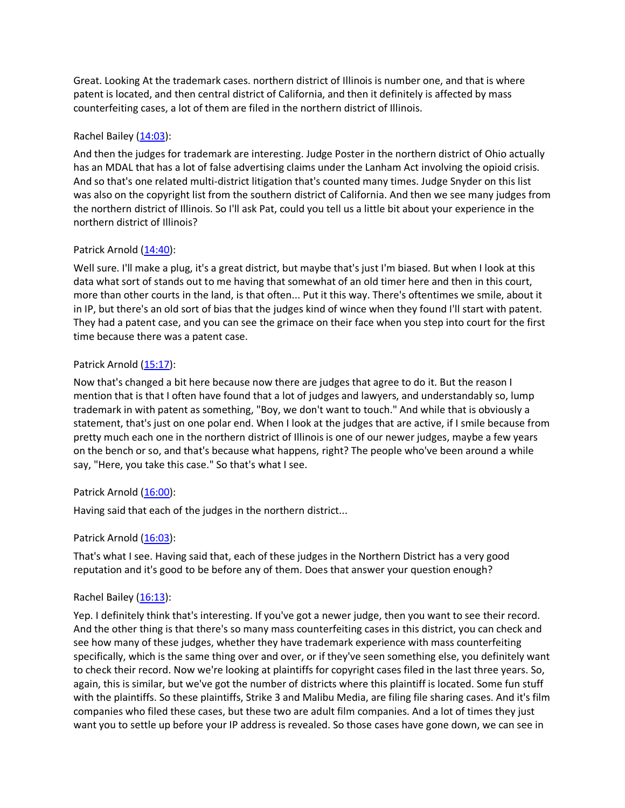Great. Looking At the trademark cases. northern district of Illinois is number one, and that is where patent is located, and then central district of California, and then it definitely is affected by mass counterfeiting cases, a lot of them are filed in the northern district of Illinois.

# Rachel Bailey [\(14:03\)](https://www.rev.com/transcript-editor/Edit?token=CAQYCWVAWYefzG2l4dMcKdxVimqM1wu52HMc9BMxtU9B28fiC0G5WcV5ljvbPk4IuS1BC7HOkbf6-PNEtUvMhhp58Zc&loadFrom=DocumentDeeplink&ts=843):

And then the judges for trademark are interesting. Judge Poster in the northern district of Ohio actually has an MDAL that has a lot of false advertising claims under the Lanham Act involving the opioid crisis. And so that's one related multi-district litigation that's counted many times. Judge Snyder on this list was also on the copyright list from the southern district of California. And then we see many judges from the northern district of Illinois. So I'll ask Pat, could you tell us a little bit about your experience in the northern district of Illinois?

# Patrick Arnold [\(14:40\)](https://www.rev.com/transcript-editor/Edit?token=g0cgojqeuH1GF3cAoJac0Qm4-IabZH_LqxgLvBbjBMfB7sCKF3Lonx5ZIMcrrLeMa5dwWjcbA4uvKHI75ibBJ7AJ7h8&loadFrom=DocumentDeeplink&ts=880.2):

Well sure. I'll make a plug, it's a great district, but maybe that's just I'm biased. But when I look at this data what sort of stands out to me having that somewhat of an old timer here and then in this court, more than other courts in the land, is that often... Put it this way. There's oftentimes we smile, about it in IP, but there's an old sort of bias that the judges kind of wince when they found I'll start with patent. They had a patent case, and you can see the grimace on their face when you step into court for the first time because there was a patent case.

# Patrick Arnold [\(15:17\)](https://www.rev.com/transcript-editor/Edit?token=UKGubcmVvno29blgalB90iJ_Gu_pZEKEpi19QdTAokMQ2VKg2WGt4BAHehfrcY-jySA7NX6xEH5y3HFVvIiza4xR9yE&loadFrom=DocumentDeeplink&ts=917.85):

Now that's changed a bit here because now there are judges that agree to do it. But the reason I mention that is that I often have found that a lot of judges and lawyers, and understandably so, lump trademark in with patent as something, "Boy, we don't want to touch." And while that is obviously a statement, that's just on one polar end. When I look at the judges that are active, if I smile because from pretty much each one in the northern district of Illinois is one of our newer judges, maybe a few years on the bench or so, and that's because what happens, right? The people who've been around a while say, "Here, you take this case." So that's what I see.

# Patrick Arnold [\(16:00\)](https://www.rev.com/transcript-editor/Edit?token=QM8CcCOe1svE1e-ajvKw9M4-a7xKh7Lu1epbquh4Pm_50RMLgZi1irO0mZDPKDNd2oB45q7kUj7SFbUUVILdTB4pwRo&loadFrom=DocumentDeeplink&ts=960.99):

Having said that each of the judges in the northern district...

### Patrick Arnold [\(16:03\)](https://www.rev.com/transcript-editor/Edit?token=QWuaIzYmO6W5Qyo0odCs2c4wcO1g6AnvZniz135rLvUt7XoVUxXlNj46rnF6CD7ArcliscOzKhyAd8VPB4DbTVbIoWo&loadFrom=DocumentDeeplink&ts=963.181):

That's what I see. Having said that, each of these judges in the Northern District has a very good reputation and it's good to be before any of them. Does that answer your question enough?

### Rachel Bailey [\(16:13\)](https://www.rev.com/transcript-editor/Edit?token=ds6Wmrli-hg8fliNBZ37qJGnIdCMXIcOq54ndadKSc5daj-51Y3plNYxu18RAGhRxn_ATTUrL6NQzgZ_WIZLtBavLXk&loadFrom=DocumentDeeplink&ts=973.49):

Yep. I definitely think that's interesting. If you've got a newer judge, then you want to see their record. And the other thing is that there's so many mass counterfeiting cases in this district, you can check and see how many of these judges, whether they have trademark experience with mass counterfeiting specifically, which is the same thing over and over, or if they've seen something else, you definitely want to check their record. Now we're looking at plaintiffs for copyright cases filed in the last three years. So, again, this is similar, but we've got the number of districts where this plaintiff is located. Some fun stuff with the plaintiffs. So these plaintiffs, Strike 3 and Malibu Media, are filing file sharing cases. And it's film companies who filed these cases, but these two are adult film companies. And a lot of times they just want you to settle up before your IP address is revealed. So those cases have gone down, we can see in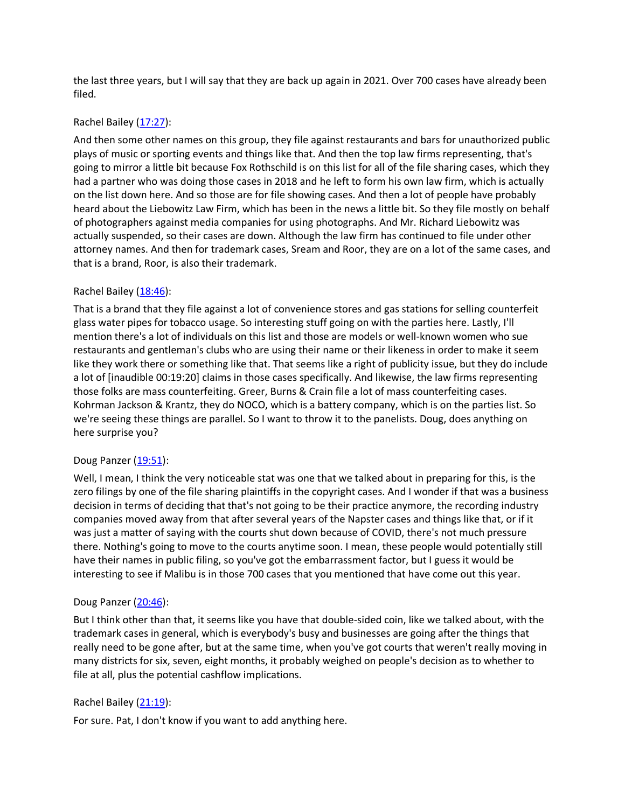the last three years, but I will say that they are back up again in 2021. Over 700 cases have already been filed.

# Rachel Bailey [\(17:27\)](https://www.rev.com/transcript-editor/Edit?token=9vZXCo-s80l5uyf0weOyaJngJ51yJT2f0iquL5378WZZJxpecwV2J0WJ6CxBtk2NRJqSieB5Tu0TMrhZ2WCD8bSZgZw&loadFrom=DocumentDeeplink&ts=1047.22):

And then some other names on this group, they file against restaurants and bars for unauthorized public plays of music or sporting events and things like that. And then the top law firms representing, that's going to mirror a little bit because Fox Rothschild is on this list for all of the file sharing cases, which they had a partner who was doing those cases in 2018 and he left to form his own law firm, which is actually on the list down here. And so those are for file showing cases. And then a lot of people have probably heard about the Liebowitz Law Firm, which has been in the news a little bit. So they file mostly on behalf of photographers against media companies for using photographs. And Mr. Richard Liebowitz was actually suspended, so their cases are down. Although the law firm has continued to file under other attorney names. And then for trademark cases, Sream and Roor, they are on a lot of the same cases, and that is a brand, Roor, is also their trademark.

# Rachel Bailey [\(18:46\)](https://www.rev.com/transcript-editor/Edit?token=ekgSEMqaeTPq7-WUdyoNP32_iwyqht8_2PZdlxzvuNeZGHk9CsEKKQI8LUcLBiwuLTc6d4SlxUCKwKTxPbE2WCJ5nlM&loadFrom=DocumentDeeplink&ts=1126.29):

That is a brand that they file against a lot of convenience stores and gas stations for selling counterfeit glass water pipes for tobacco usage. So interesting stuff going on with the parties here. Lastly, I'll mention there's a lot of individuals on this list and those are models or well-known women who sue restaurants and gentleman's clubs who are using their name or their likeness in order to make it seem like they work there or something like that. That seems like a right of publicity issue, but they do include a lot of [inaudible 00:19:20] claims in those cases specifically. And likewise, the law firms representing those folks are mass counterfeiting. Greer, Burns & Crain file a lot of mass counterfeiting cases. Kohrman Jackson & Krantz, they do NOCO, which is a battery company, which is on the parties list. So we're seeing these things are parallel. So I want to throw it to the panelists. Doug, does anything on here surprise you?

### Doug Panzer [\(19:51\)](https://www.rev.com/transcript-editor/Edit?token=0-rJu3wWEP4qz-WbgQmRSKuCU55SWfXBe27H56iLZl0gyrfYTzgSTfvEhvSB21kHdjys06jTYwo-kSw7yVihuWrmaVg&loadFrom=DocumentDeeplink&ts=1191.13):

Well, I mean, I think the very noticeable stat was one that we talked about in preparing for this, is the zero filings by one of the file sharing plaintiffs in the copyright cases. And I wonder if that was a business decision in terms of deciding that that's not going to be their practice anymore, the recording industry companies moved away from that after several years of the Napster cases and things like that, or if it was just a matter of saying with the courts shut down because of COVID, there's not much pressure there. Nothing's going to move to the courts anytime soon. I mean, these people would potentially still have their names in public filing, so you've got the embarrassment factor, but I guess it would be interesting to see if Malibu is in those 700 cases that you mentioned that have come out this year.

### Doug Panzer [\(20:46\)](https://www.rev.com/transcript-editor/Edit?token=KREYGehK6B22e5LHqwKvFE9_Usu1vbYXShbWzBxTRsjXff20SjfY1Qhj_vtZh2ZVVNw-9ykYw3NvzEUyRXQkfMXaKMI&loadFrom=DocumentDeeplink&ts=1246.19):

But I think other than that, it seems like you have that double-sided coin, like we talked about, with the trademark cases in general, which is everybody's busy and businesses are going after the things that really need to be gone after, but at the same time, when you've got courts that weren't really moving in many districts for six, seven, eight months, it probably weighed on people's decision as to whether to file at all, plus the potential cashflow implications.

### Rachel Bailey [\(21:19\)](https://www.rev.com/transcript-editor/Edit?token=FqigpRRgBdkO_72cP_Lmp1AFU-TL_s8fsL1zRr6IVM7pHYOOQG3wGqi48In8Jns7oP2GA79qo8MmzOT6NtwR0UrL-Cc&loadFrom=DocumentDeeplink&ts=1279.01):

For sure. Pat, I don't know if you want to add anything here.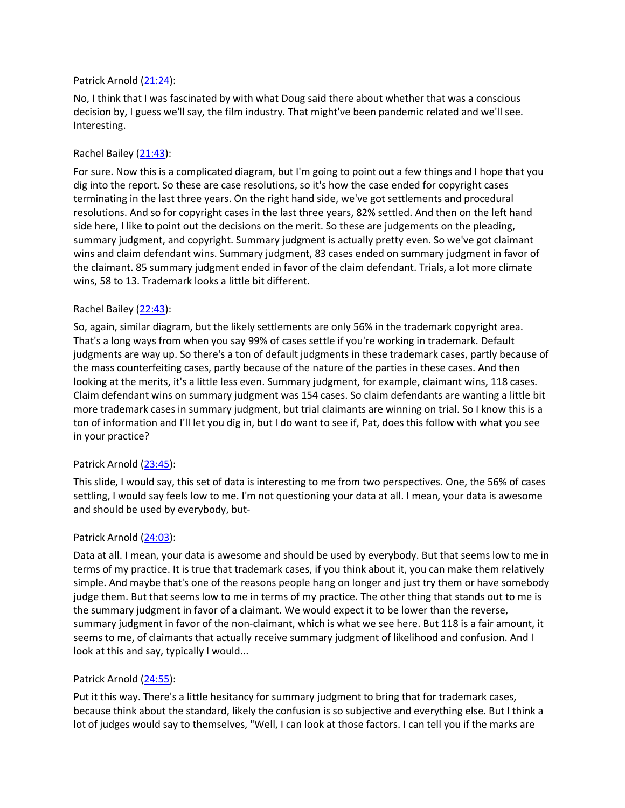### Patrick Arnold [\(21:24\)](https://www.rev.com/transcript-editor/Edit?token=LZdE3H_JpgBCUAHF3CHnnqxMvu-YOO-y6pCPpaYNKPpQdXJwl21kywET36yJ5vmGpDqeueqpFa5R_sWLAtdo4WEqEdg&loadFrom=DocumentDeeplink&ts=1284.03):

No, I think that I was fascinated by with what Doug said there about whether that was a conscious decision by, I guess we'll say, the film industry. That might've been pandemic related and we'll see. Interesting.

### Rachel Bailey [\(21:43\)](https://www.rev.com/transcript-editor/Edit?token=WvzQQ8lfe2KA7LIHPKYlrH90pJvGfoC9Rsil0AcHr7z1U2SsoEzgKeRYbExuo8GmQeCuMTCFb3NDsqq3DGbHrevzHSU&loadFrom=DocumentDeeplink&ts=1303.15):

For sure. Now this is a complicated diagram, but I'm going to point out a few things and I hope that you dig into the report. So these are case resolutions, so it's how the case ended for copyright cases terminating in the last three years. On the right hand side, we've got settlements and procedural resolutions. And so for copyright cases in the last three years, 82% settled. And then on the left hand side here, I like to point out the decisions on the merit. So these are judgements on the pleading, summary judgment, and copyright. Summary judgment is actually pretty even. So we've got claimant wins and claim defendant wins. Summary judgment, 83 cases ended on summary judgment in favor of the claimant. 85 summary judgment ended in favor of the claim defendant. Trials, a lot more climate wins, 58 to 13. Trademark looks a little bit different.

### Rachel Bailey [\(22:43\)](https://www.rev.com/transcript-editor/Edit?token=NBBETrhe0g7MC3438y-vQ-AqSjwMxKaTDS8d3HElpmnX3bUT3MaK56KW46lkho2goCVdpW8oKwxdoowoPRY4GC75OY0&loadFrom=DocumentDeeplink&ts=1363.58):

So, again, similar diagram, but the likely settlements are only 56% in the trademark copyright area. That's a long ways from when you say 99% of cases settle if you're working in trademark. Default judgments are way up. So there's a ton of default judgments in these trademark cases, partly because of the mass counterfeiting cases, partly because of the nature of the parties in these cases. And then looking at the merits, it's a little less even. Summary judgment, for example, claimant wins, 118 cases. Claim defendant wins on summary judgment was 154 cases. So claim defendants are wanting a little bit more trademark cases in summary judgment, but trial claimants are winning on trial. So I know this is a ton of information and I'll let you dig in, but I do want to see if, Pat, does this follow with what you see in your practice?

### Patrick Arnold [\(23:45\)](https://www.rev.com/transcript-editor/Edit?token=VSrcBs5woL6qD08SV0GBocpFFsiE1aMPMB-yy89TJtxVlD9KVZheKHmEBmCldYbm4CTE086tYfEas3L-tci_g5UqEFc&loadFrom=DocumentDeeplink&ts=1425.64):

This slide, I would say, this set of data is interesting to me from two perspectives. One, the 56% of cases settling, I would say feels low to me. I'm not questioning your data at all. I mean, your data is awesome and should be used by everybody, but-

#### Patrick Arnold [\(24:03\)](https://www.rev.com/transcript-editor/Edit?token=X3q1fKUfW51C_OMtAlglOO39j_kMA6w1w4jzjEB1rf3arReioSRV1aBsol2pGhLEhHYr0pxdJOohs1DFhZFtZhMRk_I&loadFrom=DocumentDeeplink&ts=1443.8):

Data at all. I mean, your data is awesome and should be used by everybody. But that seems low to me in terms of my practice. It is true that trademark cases, if you think about it, you can make them relatively simple. And maybe that's one of the reasons people hang on longer and just try them or have somebody judge them. But that seems low to me in terms of my practice. The other thing that stands out to me is the summary judgment in favor of a claimant. We would expect it to be lower than the reverse, summary judgment in favor of the non-claimant, which is what we see here. But 118 is a fair amount, it seems to me, of claimants that actually receive summary judgment of likelihood and confusion. And I look at this and say, typically I would...

#### Patrick Arnold [\(24:55\)](https://www.rev.com/transcript-editor/Edit?token=Zf0ir4Y8JNiO0Gb-rWs9vC50azFtASpPAb5rLmqYViOCHKLP3hVov6sbvfJzY1chS07nlLgdFa-HWxz9gfQVnYIXfIQ&loadFrom=DocumentDeeplink&ts=1495.86):

Put it this way. There's a little hesitancy for summary judgment to bring that for trademark cases, because think about the standard, likely the confusion is so subjective and everything else. But I think a lot of judges would say to themselves, "Well, I can look at those factors. I can tell you if the marks are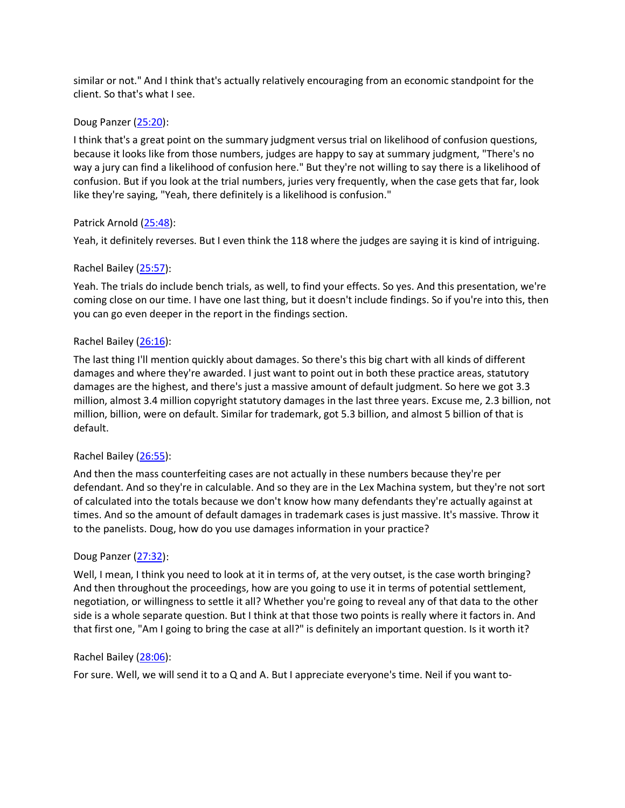similar or not." And I think that's actually relatively encouraging from an economic standpoint for the client. So that's what I see.

# Doug Panzer [\(25:20\)](https://www.rev.com/transcript-editor/Edit?token=mrJ4j3md3S-XglUdg99evOgmVB4BfzM61oB50QwjzuuDvTwc5h1nFKm5Jy1kljBrbM0JTDUsRPeFxqsWt0xm2ETXdRg&loadFrom=DocumentDeeplink&ts=1520.24):

I think that's a great point on the summary judgment versus trial on likelihood of confusion questions, because it looks like from those numbers, judges are happy to say at summary judgment, "There's no way a jury can find a likelihood of confusion here." But they're not willing to say there is a likelihood of confusion. But if you look at the trial numbers, juries very frequently, when the case gets that far, look like they're saying, "Yeah, there definitely is a likelihood is confusion."

# Patrick Arnold [\(25:48\)](https://www.rev.com/transcript-editor/Edit?token=Rq4X_kiELc4ArNxCchq6RpEOdfG6uef7xgVmP6XqHpImVoFeLH-cN-tZD40HXAySlOJtsRsXASmD9vsJJE7oinSKjts&loadFrom=DocumentDeeplink&ts=1548.09):

Yeah, it definitely reverses. But I even think the 118 where the judges are saying it is kind of intriguing.

# Rachel Bailey [\(25:57\)](https://www.rev.com/transcript-editor/Edit?token=RuAWBZRb96BMtWGpfEfr87QZDw46tLYToglNeU0l81Vc8-BNcJR7qhm0vqd8ZtE1nIVVziRqi8FtnxiS7cwRLl77cdI&loadFrom=DocumentDeeplink&ts=1557.54):

Yeah. The trials do include bench trials, as well, to find your effects. So yes. And this presentation, we're coming close on our time. I have one last thing, but it doesn't include findings. So if you're into this, then you can go even deeper in the report in the findings section.

# Rachel Bailey [\(26:16\)](https://www.rev.com/transcript-editor/Edit?token=ocr_y6JQSONSiHEJXY7SC-UatPwaLDS9xEBq8nkOn-WNVrnbJvoE1JtSijQilfjARtnviNqf0fMuFA7IuqketDpdJTw&loadFrom=DocumentDeeplink&ts=1576.96):

The last thing I'll mention quickly about damages. So there's this big chart with all kinds of different damages and where they're awarded. I just want to point out in both these practice areas, statutory damages are the highest, and there's just a massive amount of default judgment. So here we got 3.3 million, almost 3.4 million copyright statutory damages in the last three years. Excuse me, 2.3 billion, not million, billion, were on default. Similar for trademark, got 5.3 billion, and almost 5 billion of that is default.

### Rachel Bailey [\(26:55\)](https://www.rev.com/transcript-editor/Edit?token=Xczwt4j1IGTjJkIOwnziptM9LA1iImuGa-qSlU4qpo1nt2LYT-vAWzu11XjGimC9kWD7OeUEaoCVBtWx99J-NFnhEhw&loadFrom=DocumentDeeplink&ts=1615.75):

And then the mass counterfeiting cases are not actually in these numbers because they're per defendant. And so they're in calculable. And so they are in the Lex Machina system, but they're not sort of calculated into the totals because we don't know how many defendants they're actually against at times. And so the amount of default damages in trademark cases is just massive. It's massive. Throw it to the panelists. Doug, how do you use damages information in your practice?

### Doug Panzer [\(27:32\)](https://www.rev.com/transcript-editor/Edit?token=_gqa7cYR4gEH344y3oCWDryJBSqp_H8OBpB5yxCL27vgqt7lF8S_aug-LBggjX4-4AI-qm1IMueQn0xdWdR21OF0m9I&loadFrom=DocumentDeeplink&ts=1652.65):

Well, I mean, I think you need to look at it in terms of, at the very outset, is the case worth bringing? And then throughout the proceedings, how are you going to use it in terms of potential settlement, negotiation, or willingness to settle it all? Whether you're going to reveal any of that data to the other side is a whole separate question. But I think at that those two points is really where it factors in. And that first one, "Am I going to bring the case at all?" is definitely an important question. Is it worth it?

### Rachel Bailey [\(28:06\)](https://www.rev.com/transcript-editor/Edit?token=l3mNH2VS6rk8_3UIcE9-G7AK8DgnP-I57WbtX3marDZ9lRXyXWEO25uK4oFZ9wv0tIFpsU6-vfKasfGY2SMOAnxRuFs&loadFrom=DocumentDeeplink&ts=1686.26):

For sure. Well, we will send it to a Q and A. But I appreciate everyone's time. Neil if you want to-